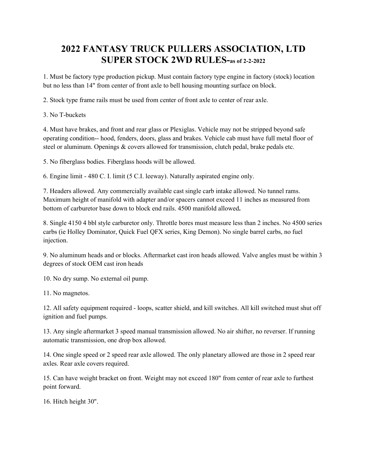## **2022 FANTASY TRUCK PULLERS ASSOCIATION, LTD SUPER STOCK 2WD RULES-as of 2-2-2022**

1. Must be factory type production pickup. Must contain factory type engine in factory (stock) location but no less than 14" from center of front axle to bell housing mounting surface on block.

2. Stock type frame rails must be used from center of front axle to center of rear axle.

3. No T-buckets

4. Must have brakes, and front and rear glass or Plexiglas. Vehicle may not be stripped beyond safe operating condition-- hood, fenders, doors, glass and brakes. Vehicle cab must have full metal floor of steel or aluminum. Openings & covers allowed for transmission, clutch pedal, brake pedals etc.

5. No fiberglass bodies. Fiberglass hoods will be allowed.

6. Engine limit - 480 C. I. limit (5 C.I. leeway). Naturally aspirated engine only.

7. Headers allowed. Any commercially available cast single carb intake allowed. No tunnel rams. Maximum height of manifold with adapter and/or spacers cannot exceed 11 inches as measured from bottom of carburetor base down to block end rails. 4500 manifold allowed**.**

8. Single 4150 4 bbl style carburetor only. Throttle bores must measure less than 2 inches. No 4500 series carbs (ie Holley Dominator, Quick Fuel QFX series, King Demon). No single barrel carbs, no fuel injection.

9. No aluminum heads and or blocks. Aftermarket cast iron heads allowed. Valve angles must be within 3 degrees of stock OEM cast iron heads

10. No dry sump. No external oil pump.

11. No magnetos.

12. All safety equipment required - loops, scatter shield, and kill switches. All kill switched must shut off ignition and fuel pumps.

13. Any single aftermarket 3 speed manual transmission allowed. No air shifter, no reverser. If running automatic transmission, one drop box allowed.

14. One single speed or 2 speed rear axle allowed. The only planetary allowed are those in 2 speed rear axles. Rear axle covers required.

15. Can have weight bracket on front. Weight may not exceed 180" from center of rear axle to furthest point forward.

16. Hitch height 30".